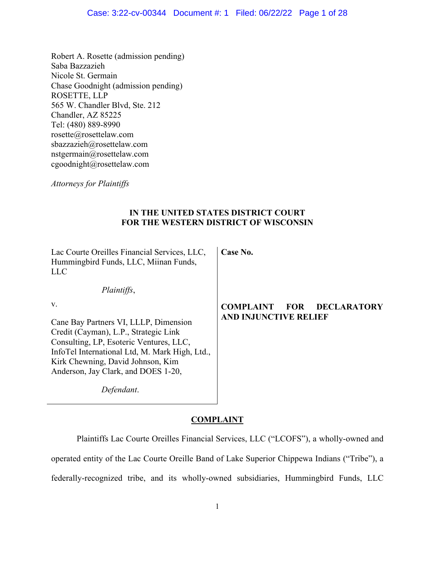## Case: 3:22-cv-00344 Document #: 1 Filed: 06/22/22 Page 1 of 28

Robert A. Rosette (admission pending) Saba Bazzazieh Nicole St. Germain Chase Goodnight (admission pending) ROSETTE, LLP 565 W. Chandler Blvd, Ste. 212 Chandler, AZ 85225 Tel: (480) 889-8990 rosette@rosettelaw.com sbazzazieh@rosettelaw.com nstgermain@rosettelaw.com cgoodnight@rosettelaw.com

*Attorneys for Plaintiffs* 

## **IN THE UNITED STATES DISTRICT COURT FOR THE WESTERN DISTRICT OF WISCONSIN**

Lac Courte Oreilles Financial Services, LLC, Hummingbird Funds, LLC, Miinan Funds, LLC

*Plaintiffs*,

**Case No.**

v.

Cane Bay Partners VI, LLLP, Dimension Credit (Cayman), L.P., Strategic Link Consulting, LP, Esoteric Ventures, LLC, InfoTel International Ltd, M. Mark High, Ltd., Kirk Chewning, David Johnson, Kim Anderson, Jay Clark, and DOES 1-20,

*Defendant*.

## **COMPLAINT FOR DECLARATORY AND INJUNCTIVE RELIEF**

## **COMPLAINT**

Plaintiffs Lac Courte Oreilles Financial Services, LLC ("LCOFS"), a wholly-owned and operated entity of the Lac Courte Oreille Band of Lake Superior Chippewa Indians ("Tribe"), a federally-recognized tribe, and its wholly-owned subsidiaries, Hummingbird Funds, LLC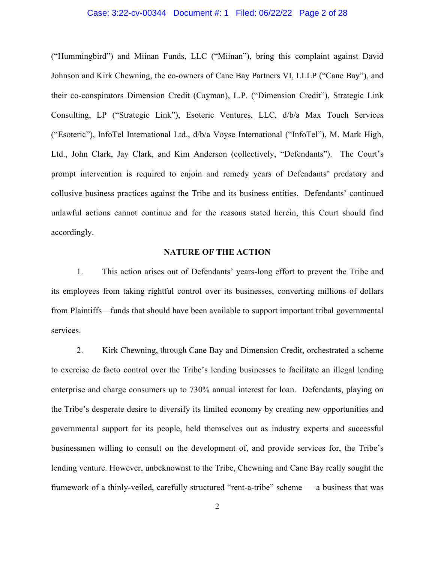## Case: 3:22-cv-00344 Document #: 1 Filed: 06/22/22 Page 2 of 28

("Hummingbird") and Miinan Funds, LLC ("Miinan"), bring this complaint against David Johnson and Kirk Chewning, the co-owners of Cane Bay Partners VI, LLLP ("Cane Bay"), and their co-conspirators Dimension Credit (Cayman), L.P. ("Dimension Credit"), Strategic Link Consulting, LP ("Strategic Link"), Esoteric Ventures, LLC, d/b/a Max Touch Services ("Esoteric"), InfoTel International Ltd., d/b/a Voyse International ("InfoTel"), M. Mark High, Ltd., John Clark, Jay Clark, and Kim Anderson (collectively, "Defendants"). The Court's prompt intervention is required to enjoin and remedy years of Defendants' predatory and collusive business practices against the Tribe and its business entities. Defendants' continued unlawful actions cannot continue and for the reasons stated herein, this Court should find accordingly.

## **NATURE OF THE ACTION**

1. This action arises out of Defendants' years-long effort to prevent the Tribe and its employees from taking rightful control over its businesses, converting millions of dollars from Plaintiffs—funds that should have been available to support important tribal governmental services.

2. Kirk Chewning, through Cane Bay and Dimension Credit, orchestrated a scheme to exercise de facto control over the Tribe's lending businesses to facilitate an illegal lending enterprise and charge consumers up to 730% annual interest for loan. Defendants, playing on the Tribe's desperate desire to diversify its limited economy by creating new opportunities and governmental support for its people, held themselves out as industry experts and successful businessmen willing to consult on the development of, and provide services for, the Tribe's lending venture. However, unbeknownst to the Tribe, Chewning and Cane Bay really sought the framework of a thinly-veiled, carefully structured "rent-a-tribe" scheme — a business that was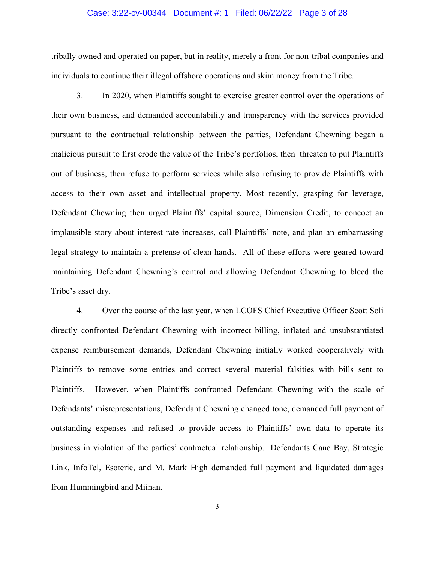## Case: 3:22-cv-00344 Document #: 1 Filed: 06/22/22 Page 3 of 28

tribally owned and operated on paper, but in reality, merely a front for non-tribal companies and individuals to continue their illegal offshore operations and skim money from the Tribe.

3. In 2020, when Plaintiffs sought to exercise greater control over the operations of their own business, and demanded accountability and transparency with the services provided pursuant to the contractual relationship between the parties, Defendant Chewning began a malicious pursuit to first erode the value of the Tribe's portfolios, then threaten to put Plaintiffs out of business, then refuse to perform services while also refusing to provide Plaintiffs with access to their own asset and intellectual property. Most recently, grasping for leverage, Defendant Chewning then urged Plaintiffs' capital source, Dimension Credit, to concoct an implausible story about interest rate increases, call Plaintiffs' note, and plan an embarrassing legal strategy to maintain a pretense of clean hands. All of these efforts were geared toward maintaining Defendant Chewning's control and allowing Defendant Chewning to bleed the Tribe's asset dry.

4. Over the course of the last year, when LCOFS Chief Executive Officer Scott Soli directly confronted Defendant Chewning with incorrect billing, inflated and unsubstantiated expense reimbursement demands, Defendant Chewning initially worked cooperatively with Plaintiffs to remove some entries and correct several material falsities with bills sent to Plaintiffs. However, when Plaintiffs confronted Defendant Chewning with the scale of Defendants' misrepresentations, Defendant Chewning changed tone, demanded full payment of outstanding expenses and refused to provide access to Plaintiffs' own data to operate its business in violation of the parties' contractual relationship. Defendants Cane Bay, Strategic Link, InfoTel, Esoteric, and M. Mark High demanded full payment and liquidated damages from Hummingbird and Miinan.

3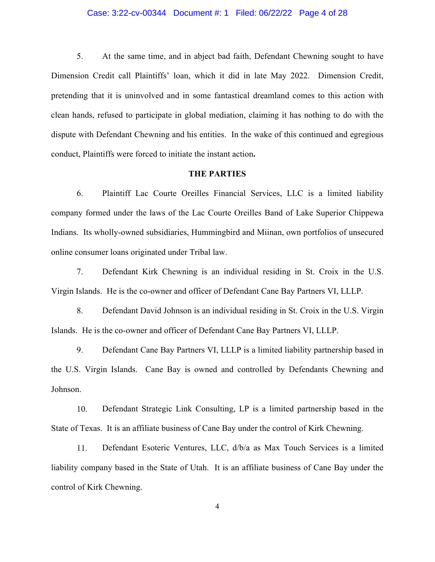## Case: 3:22-cv-00344 Document #: 1 Filed: 06/22/22 Page 4 of 28

5. At the same time, and in abject bad faith, Defendant Chewning sought to have Dimension Credit call Plaintiffs' loan, which it did in late May 2022. Dimension Credit, pretending that it is uninvolved and in some fantastical dreamland comes to this action with clean hands, refused to participate in global mediation, claiming it has nothing to do with the dispute with Defendant Chewning and his entities. In the wake of this continued and egregious conduct, Plaintiffs were forced to initiate the instant action**.**

### **THE PARTIES**

6. Plaintiff Lac Courte Oreilles Financial Services, LLC is a limited liability company formed under the laws of the Lac Courte Oreilles Band of Lake Superior Chippewa Indians. Its wholly-owned subsidiaries, Hummingbird and Miinan, own portfolios of unsecured online consumer loans originated under Tribal law.

7. Defendant Kirk Chewning is an individual residing in St. Croix in the U.S. Virgin Islands. He is the co-owner and officer of Defendant Cane Bay Partners VI, LLLP.

8. Defendant David Johnson is an individual residing in St. Croix in the U.S. Virgin Islands. He is the co-owner and officer of Defendant Cane Bay Partners VI, LLLP.

9. Defendant Cane Bay Partners VI, LLLP is a limited liability partnership based in the U.S. Virgin Islands. Cane Bay is owned and controlled by Defendants Chewning and Johnson.

10. Defendant Strategic Link Consulting, LP is a limited partnership based in the State of Texas. It is an affiliate business of Cane Bay under the control of Kirk Chewning.

11. Defendant Esoteric Ventures, LLC, d/b/a as Max Touch Services is a limited liability company based in the State of Utah. It is an affiliate business of Cane Bay under the control of Kirk Chewning.

4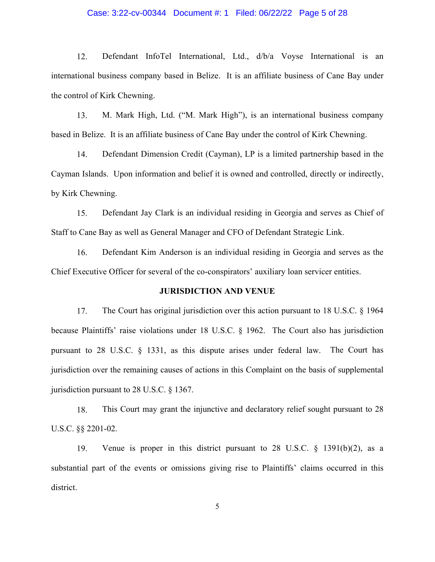## Case: 3:22-cv-00344 Document #: 1 Filed: 06/22/22 Page 5 of 28

12. Defendant InfoTel International, Ltd., d/b/a Voyse International is an international business company based in Belize. It is an affiliate business of Cane Bay under the control of Kirk Chewning.

13. M. Mark High, Ltd. ("M. Mark High"), is an international business company based in Belize. It is an affiliate business of Cane Bay under the control of Kirk Chewning.

14. Defendant Dimension Credit (Cayman), LP is a limited partnership based in the Cayman Islands. Upon information and belief it is owned and controlled, directly or indirectly, by Kirk Chewning.

15. Defendant Jay Clark is an individual residing in Georgia and serves as Chief of Staff to Cane Bay as well as General Manager and CFO of Defendant Strategic Link.

16. Defendant Kim Anderson is an individual residing in Georgia and serves as the Chief Executive Officer for several of the co-conspirators' auxiliary loan servicer entities.

## **JURISDICTION AND VENUE**

17. The Court has original jurisdiction over this action pursuant to 18 U.S.C. § 1964 because Plaintiffs' raise violations under 18 U.S.C. § 1962. The Court also has jurisdiction pursuant to 28 U.S.C. § 1331, as this dispute arises under federal law. The Court has jurisdiction over the remaining causes of actions in this Complaint on the basis of supplemental jurisdiction pursuant to 28 U.S.C. § 1367.

18. This Court may grant the injunctive and declaratory relief sought pursuant to 28 U.S.C. §§ 2201-02.

19. Venue is proper in this district pursuant to 28 U.S.C. § 1391(b)(2), as a substantial part of the events or omissions giving rise to Plaintiffs' claims occurred in this district.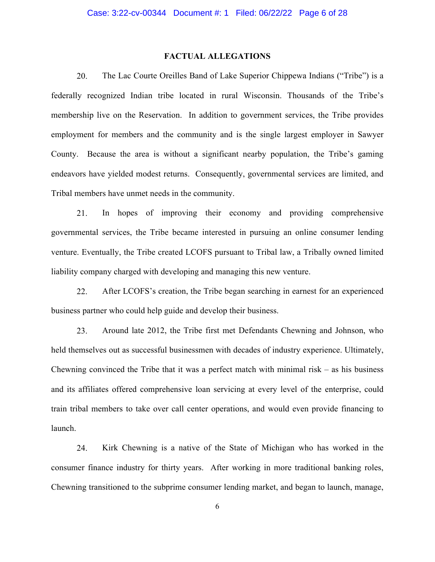## **FACTUAL ALLEGATIONS**

20. The Lac Courte Oreilles Band of Lake Superior Chippewa Indians ("Tribe") is a federally recognized Indian tribe located in rural Wisconsin. Thousands of the Tribe's membership live on the Reservation. In addition to government services, the Tribe provides employment for members and the community and is the single largest employer in Sawyer County. Because the area is without a significant nearby population, the Tribe's gaming endeavors have yielded modest returns. Consequently, governmental services are limited, and Tribal members have unmet needs in the community.

21. In hopes of improving their economy and providing comprehensive governmental services, the Tribe became interested in pursuing an online consumer lending venture. Eventually, the Tribe created LCOFS pursuant to Tribal law, a Tribally owned limited liability company charged with developing and managing this new venture.

22. After LCOFS's creation, the Tribe began searching in earnest for an experienced business partner who could help guide and develop their business.

23. Around late 2012, the Tribe first met Defendants Chewning and Johnson, who held themselves out as successful businessmen with decades of industry experience. Ultimately, Chewning convinced the Tribe that it was a perfect match with minimal risk  $-$  as his business and its affiliates offered comprehensive loan servicing at every level of the enterprise, could train tribal members to take over call center operations, and would even provide financing to launch.

24. Kirk Chewning is a native of the State of Michigan who has worked in the consumer finance industry for thirty years. After working in more traditional banking roles, Chewning transitioned to the subprime consumer lending market, and began to launch, manage,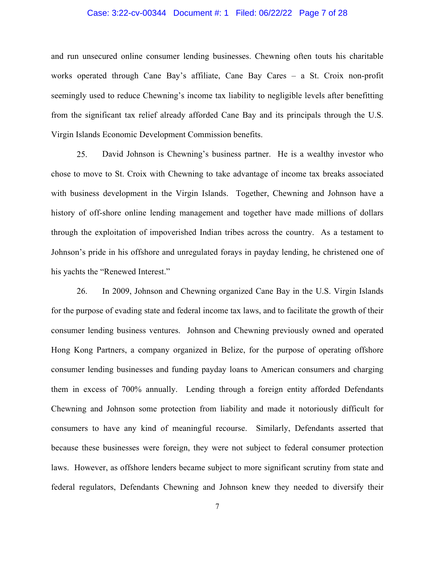## Case: 3:22-cv-00344 Document #: 1 Filed: 06/22/22 Page 7 of 28

and run unsecured online consumer lending businesses. Chewning often touts his charitable works operated through Cane Bay's affiliate, Cane Bay Cares – a St. Croix non-profit seemingly used to reduce Chewning's income tax liability to negligible levels after benefitting from the significant tax relief already afforded Cane Bay and its principals through the U.S. Virgin Islands Economic Development Commission benefits.

25. David Johnson is Chewning's business partner. He is a wealthy investor who chose to move to St. Croix with Chewning to take advantage of income tax breaks associated with business development in the Virgin Islands. Together, Chewning and Johnson have a history of off-shore online lending management and together have made millions of dollars through the exploitation of impoverished Indian tribes across the country. As a testament to Johnson's pride in his offshore and unregulated forays in payday lending, he christened one of his yachts the "Renewed Interest."

26. In 2009, Johnson and Chewning organized Cane Bay in the U.S. Virgin Islands for the purpose of evading state and federal income tax laws, and to facilitate the growth of their consumer lending business ventures. Johnson and Chewning previously owned and operated Hong Kong Partners, a company organized in Belize, for the purpose of operating offshore consumer lending businesses and funding payday loans to American consumers and charging them in excess of 700% annually. Lending through a foreign entity afforded Defendants Chewning and Johnson some protection from liability and made it notoriously difficult for consumers to have any kind of meaningful recourse. Similarly, Defendants asserted that because these businesses were foreign, they were not subject to federal consumer protection laws. However, as offshore lenders became subject to more significant scrutiny from state and federal regulators, Defendants Chewning and Johnson knew they needed to diversify their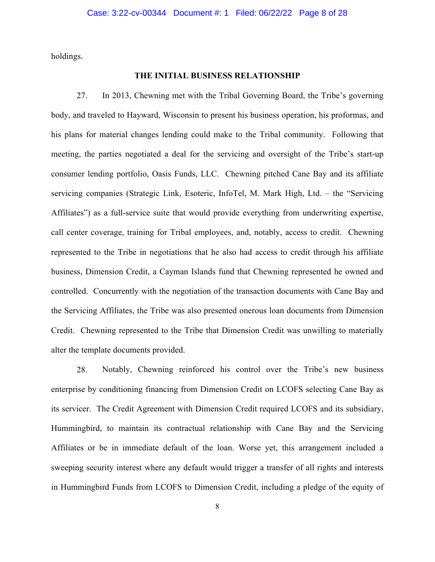holdings.

## **THE INITIAL BUSINESS RELATIONSHIP**

27. In 2013, Chewning met with the Tribal Governing Board, the Tribe's governing body, and traveled to Hayward, Wisconsin to present his business operation, his proformas, and his plans for material changes lending could make to the Tribal community. Following that meeting, the parties negotiated a deal for the servicing and oversight of the Tribe's start-up consumer lending portfolio, Oasis Funds, LLC. Chewning pitched Cane Bay and its affiliate servicing companies (Strategic Link, Esoteric, InfoTel, M. Mark High, Ltd. – the "Servicing Affiliates") as a full-service suite that would provide everything from underwriting expertise, call center coverage, training for Tribal employees, and, notably, access to credit. Chewning represented to the Tribe in negotiations that he also had access to credit through his affiliate business, Dimension Credit, a Cayman Islands fund that Chewning represented he owned and controlled. Concurrently with the negotiation of the transaction documents with Cane Bay and the Servicing Affiliates, the Tribe was also presented onerous loan documents from Dimension Credit. Chewning represented to the Tribe that Dimension Credit was unwilling to materially alter the template documents provided.

28. Notably, Chewning reinforced his control over the Tribe's new business enterprise by conditioning financing from Dimension Credit on LCOFS selecting Cane Bay as its servicer. The Credit Agreement with Dimension Credit required LCOFS and its subsidiary, Hummingbird, to maintain its contractual relationship with Cane Bay and the Servicing Affiliates or be in immediate default of the loan. Worse yet, this arrangement included a sweeping security interest where any default would trigger a transfer of all rights and interests in Hummingbird Funds from LCOFS to Dimension Credit, including a pledge of the equity of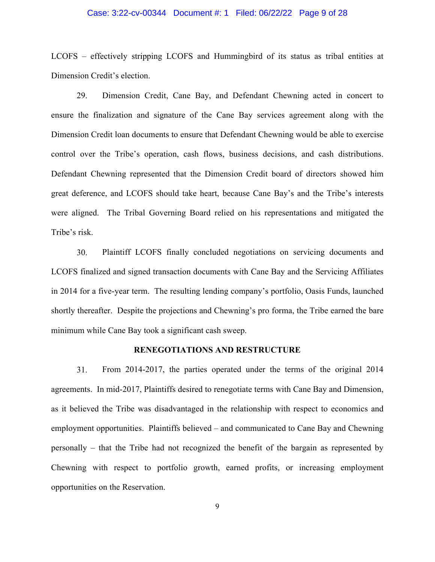## Case: 3:22-cv-00344 Document #: 1 Filed: 06/22/22 Page 9 of 28

LCOFS – effectively stripping LCOFS and Hummingbird of its status as tribal entities at Dimension Credit's election.

29. Dimension Credit, Cane Bay, and Defendant Chewning acted in concert to ensure the finalization and signature of the Cane Bay services agreement along with the Dimension Credit loan documents to ensure that Defendant Chewning would be able to exercise control over the Tribe's operation, cash flows, business decisions, and cash distributions. Defendant Chewning represented that the Dimension Credit board of directors showed him great deference, and LCOFS should take heart, because Cane Bay's and the Tribe's interests were aligned. The Tribal Governing Board relied on his representations and mitigated the Tribe's risk.

30. Plaintiff LCOFS finally concluded negotiations on servicing documents and LCOFS finalized and signed transaction documents with Cane Bay and the Servicing Affiliates in 2014 for a five-year term. The resulting lending company's portfolio, Oasis Funds, launched shortly thereafter. Despite the projections and Chewning's pro forma, the Tribe earned the bare minimum while Cane Bay took a significant cash sweep.

### **RENEGOTIATIONS AND RESTRUCTURE**

31. From 2014-2017, the parties operated under the terms of the original 2014 agreements. In mid-2017, Plaintiffs desired to renegotiate terms with Cane Bay and Dimension, as it believed the Tribe was disadvantaged in the relationship with respect to economics and employment opportunities. Plaintiffs believed – and communicated to Cane Bay and Chewning personally – that the Tribe had not recognized the benefit of the bargain as represented by Chewning with respect to portfolio growth, earned profits, or increasing employment opportunities on the Reservation.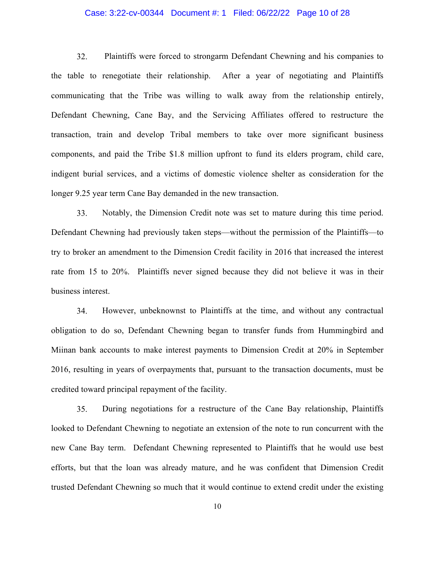## Case: 3:22-cv-00344 Document #: 1 Filed: 06/22/22 Page 10 of 28

32. Plaintiffs were forced to strongarm Defendant Chewning and his companies to the table to renegotiate their relationship. After a year of negotiating and Plaintiffs communicating that the Tribe was willing to walk away from the relationship entirely, Defendant Chewning, Cane Bay, and the Servicing Affiliates offered to restructure the transaction, train and develop Tribal members to take over more significant business components, and paid the Tribe \$1.8 million upfront to fund its elders program, child care, indigent burial services, and a victims of domestic violence shelter as consideration for the longer 9.25 year term Cane Bay demanded in the new transaction.

33. Notably, the Dimension Credit note was set to mature during this time period. Defendant Chewning had previously taken steps—without the permission of the Plaintiffs—to try to broker an amendment to the Dimension Credit facility in 2016 that increased the interest rate from 15 to 20%. Plaintiffs never signed because they did not believe it was in their business interest.

34. However, unbeknownst to Plaintiffs at the time, and without any contractual obligation to do so, Defendant Chewning began to transfer funds from Hummingbird and Miinan bank accounts to make interest payments to Dimension Credit at 20% in September 2016, resulting in years of overpayments that, pursuant to the transaction documents, must be credited toward principal repayment of the facility.

35. During negotiations for a restructure of the Cane Bay relationship, Plaintiffs looked to Defendant Chewning to negotiate an extension of the note to run concurrent with the new Cane Bay term. Defendant Chewning represented to Plaintiffs that he would use best efforts, but that the loan was already mature, and he was confident that Dimension Credit trusted Defendant Chewning so much that it would continue to extend credit under the existing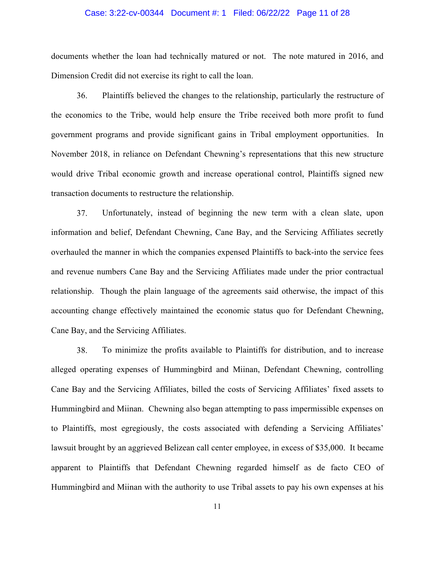## Case: 3:22-cv-00344 Document #: 1 Filed: 06/22/22 Page 11 of 28

documents whether the loan had technically matured or not. The note matured in 2016, and Dimension Credit did not exercise its right to call the loan.

36. Plaintiffs believed the changes to the relationship, particularly the restructure of the economics to the Tribe, would help ensure the Tribe received both more profit to fund government programs and provide significant gains in Tribal employment opportunities. In November 2018, in reliance on Defendant Chewning's representations that this new structure would drive Tribal economic growth and increase operational control, Plaintiffs signed new transaction documents to restructure the relationship.

37. Unfortunately, instead of beginning the new term with a clean slate, upon information and belief, Defendant Chewning, Cane Bay, and the Servicing Affiliates secretly overhauled the manner in which the companies expensed Plaintiffs to back-into the service fees and revenue numbers Cane Bay and the Servicing Affiliates made under the prior contractual relationship. Though the plain language of the agreements said otherwise, the impact of this accounting change effectively maintained the economic status quo for Defendant Chewning, Cane Bay, and the Servicing Affiliates.

38. To minimize the profits available to Plaintiffs for distribution, and to increase alleged operating expenses of Hummingbird and Miinan, Defendant Chewning, controlling Cane Bay and the Servicing Affiliates, billed the costs of Servicing Affiliates' fixed assets to Hummingbird and Miinan. Chewning also began attempting to pass impermissible expenses on to Plaintiffs, most egregiously, the costs associated with defending a Servicing Affiliates' lawsuit brought by an aggrieved Belizean call center employee, in excess of \$35,000. It became apparent to Plaintiffs that Defendant Chewning regarded himself as de facto CEO of Hummingbird and Miinan with the authority to use Tribal assets to pay his own expenses at his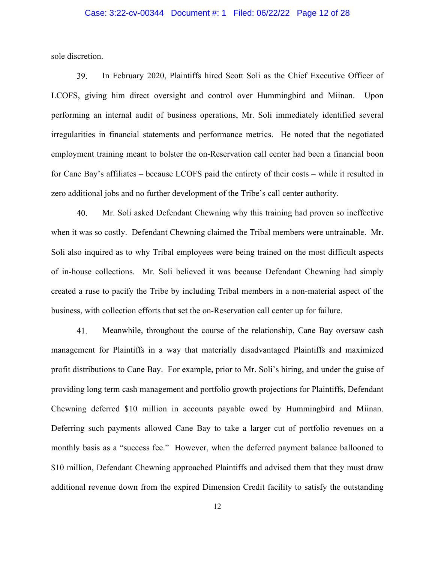## Case: 3:22-cv-00344 Document #: 1 Filed: 06/22/22 Page 12 of 28

sole discretion.

39. In February 2020, Plaintiffs hired Scott Soli as the Chief Executive Officer of LCOFS, giving him direct oversight and control over Hummingbird and Miinan. Upon performing an internal audit of business operations, Mr. Soli immediately identified several irregularities in financial statements and performance metrics. He noted that the negotiated employment training meant to bolster the on-Reservation call center had been a financial boon for Cane Bay's affiliates – because LCOFS paid the entirety of their costs – while it resulted in zero additional jobs and no further development of the Tribe's call center authority.

40. Mr. Soli asked Defendant Chewning why this training had proven so ineffective when it was so costly. Defendant Chewning claimed the Tribal members were untrainable. Mr. Soli also inquired as to why Tribal employees were being trained on the most difficult aspects of in-house collections. Mr. Soli believed it was because Defendant Chewning had simply created a ruse to pacify the Tribe by including Tribal members in a non-material aspect of the business, with collection efforts that set the on-Reservation call center up for failure.

41. Meanwhile, throughout the course of the relationship, Cane Bay oversaw cash management for Plaintiffs in a way that materially disadvantaged Plaintiffs and maximized profit distributions to Cane Bay. For example, prior to Mr. Soli's hiring, and under the guise of providing long term cash management and portfolio growth projections for Plaintiffs, Defendant Chewning deferred \$10 million in accounts payable owed by Hummingbird and Miinan. Deferring such payments allowed Cane Bay to take a larger cut of portfolio revenues on a monthly basis as a "success fee." However, when the deferred payment balance ballooned to \$10 million, Defendant Chewning approached Plaintiffs and advised them that they must draw additional revenue down from the expired Dimension Credit facility to satisfy the outstanding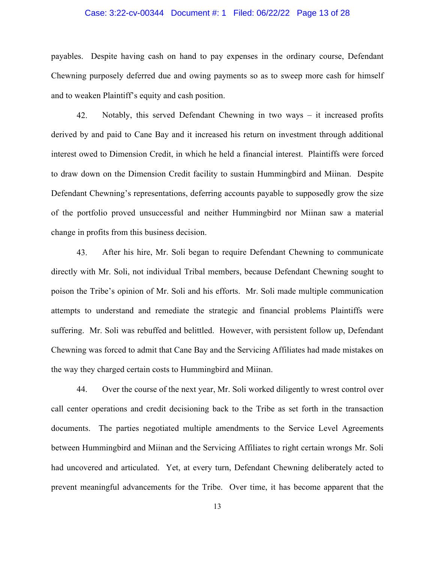## Case: 3:22-cv-00344 Document #: 1 Filed: 06/22/22 Page 13 of 28

payables. Despite having cash on hand to pay expenses in the ordinary course, Defendant Chewning purposely deferred due and owing payments so as to sweep more cash for himself and to weaken Plaintiff's equity and cash position.

42. Notably, this served Defendant Chewning in two ways – it increased profits derived by and paid to Cane Bay and it increased his return on investment through additional interest owed to Dimension Credit, in which he held a financial interest. Plaintiffs were forced to draw down on the Dimension Credit facility to sustain Hummingbird and Miinan. Despite Defendant Chewning's representations, deferring accounts payable to supposedly grow the size of the portfolio proved unsuccessful and neither Hummingbird nor Miinan saw a material change in profits from this business decision.

43. After his hire, Mr. Soli began to require Defendant Chewning to communicate directly with Mr. Soli, not individual Tribal members, because Defendant Chewning sought to poison the Tribe's opinion of Mr. Soli and his efforts. Mr. Soli made multiple communication attempts to understand and remediate the strategic and financial problems Plaintiffs were suffering. Mr. Soli was rebuffed and belittled. However, with persistent follow up, Defendant Chewning was forced to admit that Cane Bay and the Servicing Affiliates had made mistakes on the way they charged certain costs to Hummingbird and Miinan.

44. Over the course of the next year, Mr. Soli worked diligently to wrest control over call center operations and credit decisioning back to the Tribe as set forth in the transaction documents. The parties negotiated multiple amendments to the Service Level Agreements between Hummingbird and Miinan and the Servicing Affiliates to right certain wrongs Mr. Soli had uncovered and articulated. Yet, at every turn, Defendant Chewning deliberately acted to prevent meaningful advancements for the Tribe. Over time, it has become apparent that the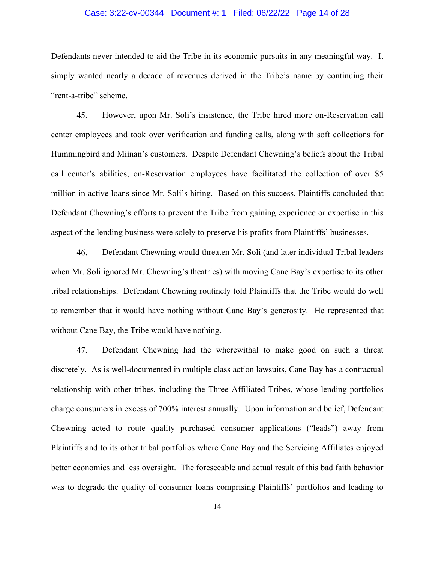## Case: 3:22-cv-00344 Document #: 1 Filed: 06/22/22 Page 14 of 28

Defendants never intended to aid the Tribe in its economic pursuits in any meaningful way. It simply wanted nearly a decade of revenues derived in the Tribe's name by continuing their "rent-a-tribe" scheme.

45. However, upon Mr. Soli's insistence, the Tribe hired more on-Reservation call center employees and took over verification and funding calls, along with soft collections for Hummingbird and Miinan's customers. Despite Defendant Chewning's beliefs about the Tribal call center's abilities, on-Reservation employees have facilitated the collection of over \$5 million in active loans since Mr. Soli's hiring. Based on this success, Plaintiffs concluded that Defendant Chewning's efforts to prevent the Tribe from gaining experience or expertise in this aspect of the lending business were solely to preserve his profits from Plaintiffs' businesses.

46. Defendant Chewning would threaten Mr. Soli (and later individual Tribal leaders when Mr. Soli ignored Mr. Chewning's theatrics) with moving Cane Bay's expertise to its other tribal relationships. Defendant Chewning routinely told Plaintiffs that the Tribe would do well to remember that it would have nothing without Cane Bay's generosity. He represented that without Cane Bay, the Tribe would have nothing.

47. Defendant Chewning had the wherewithal to make good on such a threat discretely. As is well-documented in multiple class action lawsuits, Cane Bay has a contractual relationship with other tribes, including the Three Affiliated Tribes, whose lending portfolios charge consumers in excess of 700% interest annually. Upon information and belief, Defendant Chewning acted to route quality purchased consumer applications ("leads") away from Plaintiffs and to its other tribal portfolios where Cane Bay and the Servicing Affiliates enjoyed better economics and less oversight. The foreseeable and actual result of this bad faith behavior was to degrade the quality of consumer loans comprising Plaintiffs' portfolios and leading to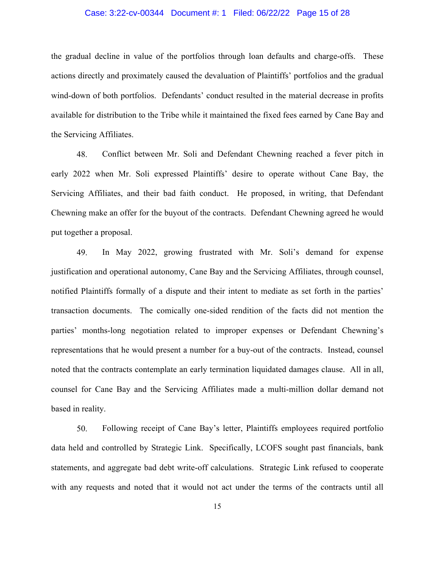## Case: 3:22-cv-00344 Document #: 1 Filed: 06/22/22 Page 15 of 28

the gradual decline in value of the portfolios through loan defaults and charge-offs. These actions directly and proximately caused the devaluation of Plaintiffs' portfolios and the gradual wind-down of both portfolios. Defendants' conduct resulted in the material decrease in profits available for distribution to the Tribe while it maintained the fixed fees earned by Cane Bay and the Servicing Affiliates.

48. Conflict between Mr. Soli and Defendant Chewning reached a fever pitch in early 2022 when Mr. Soli expressed Plaintiffs' desire to operate without Cane Bay, the Servicing Affiliates, and their bad faith conduct. He proposed, in writing, that Defendant Chewning make an offer for the buyout of the contracts. Defendant Chewning agreed he would put together a proposal.

49. In May 2022, growing frustrated with Mr. Soli's demand for expense justification and operational autonomy, Cane Bay and the Servicing Affiliates, through counsel, notified Plaintiffs formally of a dispute and their intent to mediate as set forth in the parties' transaction documents. The comically one-sided rendition of the facts did not mention the parties' months-long negotiation related to improper expenses or Defendant Chewning's representations that he would present a number for a buy-out of the contracts. Instead, counsel noted that the contracts contemplate an early termination liquidated damages clause. All in all, counsel for Cane Bay and the Servicing Affiliates made a multi-million dollar demand not based in reality.

50. Following receipt of Cane Bay's letter, Plaintiffs employees required portfolio data held and controlled by Strategic Link. Specifically, LCOFS sought past financials, bank statements, and aggregate bad debt write-off calculations. Strategic Link refused to cooperate with any requests and noted that it would not act under the terms of the contracts until all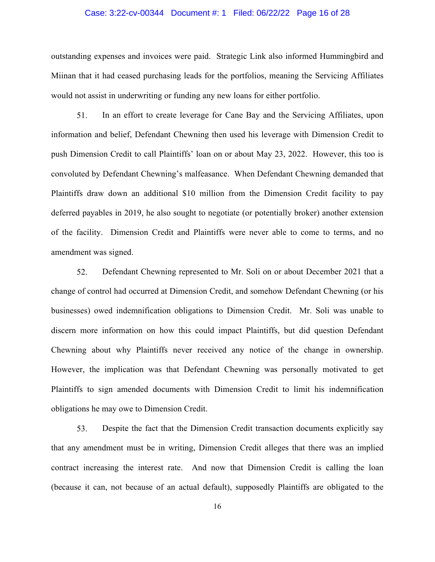## Case: 3:22-cv-00344 Document #: 1 Filed: 06/22/22 Page 16 of 28

outstanding expenses and invoices were paid. Strategic Link also informed Hummingbird and Miinan that it had ceased purchasing leads for the portfolios, meaning the Servicing Affiliates would not assist in underwriting or funding any new loans for either portfolio.

51. In an effort to create leverage for Cane Bay and the Servicing Affiliates, upon information and belief, Defendant Chewning then used his leverage with Dimension Credit to push Dimension Credit to call Plaintiffs' loan on or about May 23, 2022. However, this too is convoluted by Defendant Chewning's malfeasance. When Defendant Chewning demanded that Plaintiffs draw down an additional \$10 million from the Dimension Credit facility to pay deferred payables in 2019, he also sought to negotiate (or potentially broker) another extension of the facility. Dimension Credit and Plaintiffs were never able to come to terms, and no amendment was signed.

52. Defendant Chewning represented to Mr. Soli on or about December 2021 that a change of control had occurred at Dimension Credit, and somehow Defendant Chewning (or his businesses) owed indemnification obligations to Dimension Credit. Mr. Soli was unable to discern more information on how this could impact Plaintiffs, but did question Defendant Chewning about why Plaintiffs never received any notice of the change in ownership. However, the implication was that Defendant Chewning was personally motivated to get Plaintiffs to sign amended documents with Dimension Credit to limit his indemnification obligations he may owe to Dimension Credit.

53. Despite the fact that the Dimension Credit transaction documents explicitly say that any amendment must be in writing, Dimension Credit alleges that there was an implied contract increasing the interest rate. And now that Dimension Credit is calling the loan (because it can, not because of an actual default), supposedly Plaintiffs are obligated to the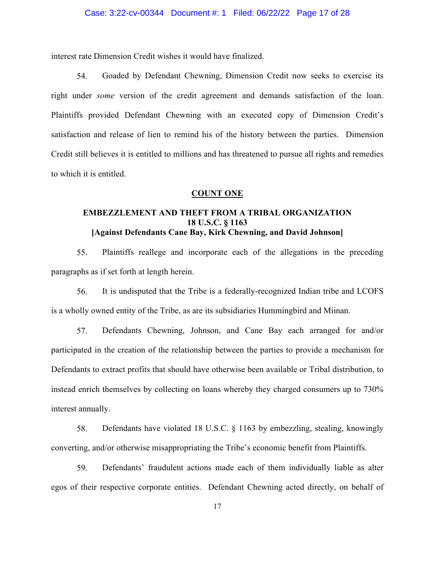## Case: 3:22-cv-00344 Document #: 1 Filed: 06/22/22 Page 17 of 28

interest rate Dimension Credit wishes it would have finalized.

54. Goaded by Defendant Chewning, Dimension Credit now seeks to exercise its right under *some* version of the credit agreement and demands satisfaction of the loan. Plaintiffs provided Defendant Chewning with an executed copy of Dimension Credit's satisfaction and release of lien to remind his of the history between the parties. Dimension Credit still believes it is entitled to millions and has threatened to pursue all rights and remedies to which it is entitled.

## **COUNT ONE**

# **EMBEZZLEMENT AND THEFT FROM A TRIBAL ORGANIZATION 18 U.S.C. § 1163 [Against Defendants Cane Bay, Kirk Chewning, and David Johnson]**

55. Plaintiffs reallege and incorporate each of the allegations in the preceding paragraphs as if set forth at length herein.

56. It is undisputed that the Tribe is a federally-recognized Indian tribe and LCOFS is a wholly owned entity of the Tribe, as are its subsidiaries Hummingbird and Miinan.

57. Defendants Chewning, Johnson, and Cane Bay each arranged for and/or participated in the creation of the relationship between the parties to provide a mechanism for Defendants to extract profits that should have otherwise been available or Tribal distribution, to instead enrich themselves by collecting on loans whereby they charged consumers up to 730% interest annually.

58. Defendants have violated 18 U.S.C. § 1163 by embezzling, stealing, knowingly converting, and/or otherwise misappropriating the Tribe's economic benefit from Plaintiffs.

59. Defendants' fraudulent actions made each of them individually liable as alter egos of their respective corporate entities. Defendant Chewning acted directly, on behalf of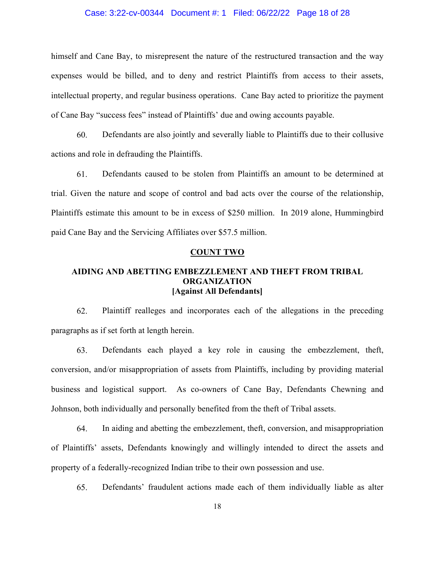## Case: 3:22-cv-00344 Document #: 1 Filed: 06/22/22 Page 18 of 28

himself and Cane Bay, to misrepresent the nature of the restructured transaction and the way expenses would be billed, and to deny and restrict Plaintiffs from access to their assets, intellectual property, and regular business operations. Cane Bay acted to prioritize the payment of Cane Bay "success fees" instead of Plaintiffs' due and owing accounts payable.

60. Defendants are also jointly and severally liable to Plaintiffs due to their collusive actions and role in defrauding the Plaintiffs.

61. Defendants caused to be stolen from Plaintiffs an amount to be determined at trial. Given the nature and scope of control and bad acts over the course of the relationship, Plaintiffs estimate this amount to be in excess of \$250 million. In 2019 alone, Hummingbird paid Cane Bay and the Servicing Affiliates over \$57.5 million.

### **COUNT TWO**

## **AIDING AND ABETTING EMBEZZLEMENT AND THEFT FROM TRIBAL ORGANIZATION [Against All Defendants]**

62. Plaintiff realleges and incorporates each of the allegations in the preceding paragraphs as if set forth at length herein.

63. Defendants each played a key role in causing the embezzlement, theft, conversion, and/or misappropriation of assets from Plaintiffs, including by providing material business and logistical support. As co-owners of Cane Bay, Defendants Chewning and Johnson, both individually and personally benefited from the theft of Tribal assets.

64. In aiding and abetting the embezzlement, theft, conversion, and misappropriation of Plaintiffs' assets, Defendants knowingly and willingly intended to direct the assets and property of a federally-recognized Indian tribe to their own possession and use.

65. Defendants' fraudulent actions made each of them individually liable as alter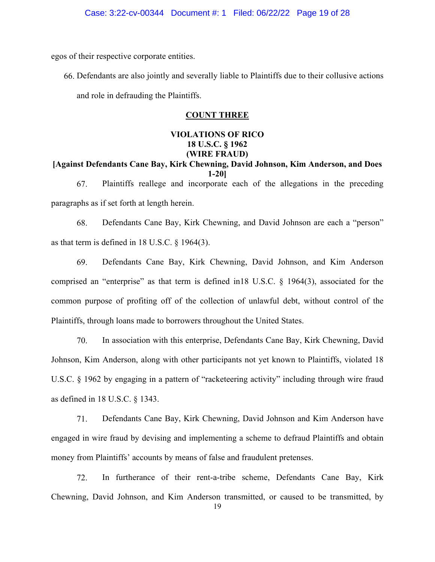egos of their respective corporate entities.

66. Defendants are also jointly and severally liable to Plaintiffs due to their collusive actions and role in defrauding the Plaintiffs.

# **COUNT THREE**

# **VIOLATIONS OF RICO 18 U.S.C. § 1962 (WIRE FRAUD)**

**[Against Defendants Cane Bay, Kirk Chewning, David Johnson, Kim Anderson, and Does 1-20]** 

67. Plaintiffs reallege and incorporate each of the allegations in the preceding paragraphs as if set forth at length herein.

68. Defendants Cane Bay, Kirk Chewning, and David Johnson are each a "person" as that term is defined in 18 U.S.C. § 1964(3).

69. Defendants Cane Bay, Kirk Chewning, David Johnson, and Kim Anderson comprised an "enterprise" as that term is defined in18 U.S.C. § 1964(3), associated for the common purpose of profiting off of the collection of unlawful debt, without control of the Plaintiffs, through loans made to borrowers throughout the United States.

70. In association with this enterprise, Defendants Cane Bay, Kirk Chewning, David Johnson, Kim Anderson, along with other participants not yet known to Plaintiffs, violated 18 U.S.C. § 1962 by engaging in a pattern of "racketeering activity" including through wire fraud as defined in 18 U.S.C. § 1343.

71. Defendants Cane Bay, Kirk Chewning, David Johnson and Kim Anderson have engaged in wire fraud by devising and implementing a scheme to defraud Plaintiffs and obtain money from Plaintiffs' accounts by means of false and fraudulent pretenses.

72. In furtherance of their rent-a-tribe scheme, Defendants Cane Bay, Kirk Chewning, David Johnson, and Kim Anderson transmitted, or caused to be transmitted, by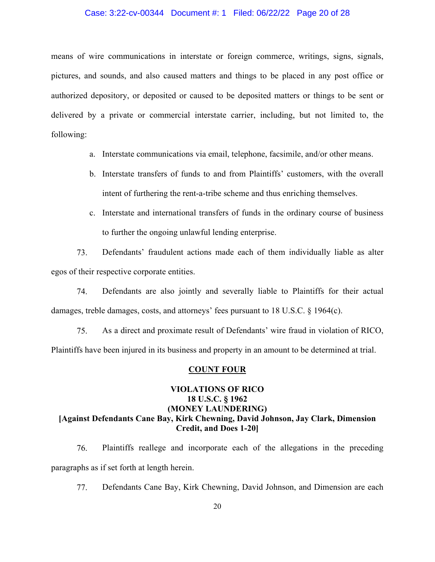## Case: 3:22-cv-00344 Document #: 1 Filed: 06/22/22 Page 20 of 28

means of wire communications in interstate or foreign commerce, writings, signs, signals, pictures, and sounds, and also caused matters and things to be placed in any post office or authorized depository, or deposited or caused to be deposited matters or things to be sent or delivered by a private or commercial interstate carrier, including, but not limited to, the following:

- a. Interstate communications via email, telephone, facsimile, and/or other means.
- b. Interstate transfers of funds to and from Plaintiffs' customers, with the overall intent of furthering the rent-a-tribe scheme and thus enriching themselves.
- c. Interstate and international transfers of funds in the ordinary course of business to further the ongoing unlawful lending enterprise.

73. Defendants' fraudulent actions made each of them individually liable as alter egos of their respective corporate entities.

74. Defendants are also jointly and severally liable to Plaintiffs for their actual damages, treble damages, costs, and attorneys' fees pursuant to 18 U.S.C. § 1964(c).

75. As a direct and proximate result of Defendants' wire fraud in violation of RICO, Plaintiffs have been injured in its business and property in an amount to be determined at trial.

#### **COUNT FOUR**

# **VIOLATIONS OF RICO 18 U.S.C. § 1962 (MONEY LAUNDERING) [Against Defendants Cane Bay, Kirk Chewning, David Johnson, Jay Clark, Dimension Credit, and Does 1-20]**

76. Plaintiffs reallege and incorporate each of the allegations in the preceding paragraphs as if set forth at length herein.

77. Defendants Cane Bay, Kirk Chewning, David Johnson, and Dimension are each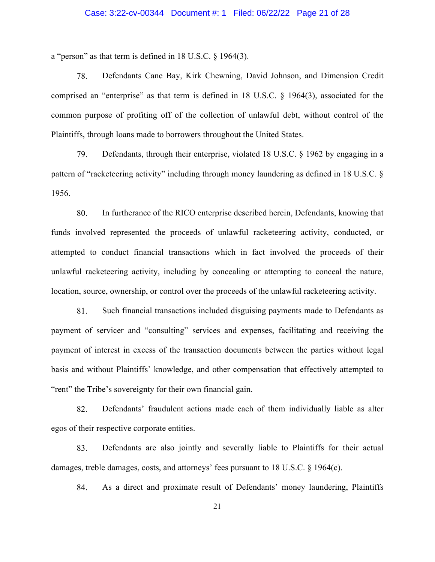## Case: 3:22-cv-00344 Document #: 1 Filed: 06/22/22 Page 21 of 28

a "person" as that term is defined in 18 U.S.C. § 1964(3).

78. Defendants Cane Bay, Kirk Chewning, David Johnson, and Dimension Credit comprised an "enterprise" as that term is defined in 18 U.S.C. § 1964(3), associated for the common purpose of profiting off of the collection of unlawful debt, without control of the Plaintiffs, through loans made to borrowers throughout the United States.

79. Defendants, through their enterprise, violated 18 U.S.C. § 1962 by engaging in a pattern of "racketeering activity" including through money laundering as defined in 18 U.S.C. § 1956.

80. In furtherance of the RICO enterprise described herein, Defendants, knowing that funds involved represented the proceeds of unlawful racketeering activity, conducted, or attempted to conduct financial transactions which in fact involved the proceeds of their unlawful racketeering activity, including by concealing or attempting to conceal the nature, location, source, ownership, or control over the proceeds of the unlawful racketeering activity.

81. Such financial transactions included disguising payments made to Defendants as payment of servicer and "consulting" services and expenses, facilitating and receiving the payment of interest in excess of the transaction documents between the parties without legal basis and without Plaintiffs' knowledge, and other compensation that effectively attempted to "rent" the Tribe's sovereignty for their own financial gain.

82. Defendants' fraudulent actions made each of them individually liable as alter egos of their respective corporate entities.

83. Defendants are also jointly and severally liable to Plaintiffs for their actual damages, treble damages, costs, and attorneys' fees pursuant to 18 U.S.C. § 1964(c).

84. As a direct and proximate result of Defendants' money laundering, Plaintiffs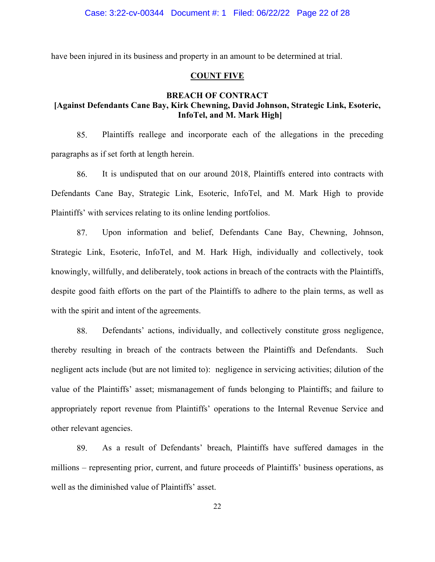have been injured in its business and property in an amount to be determined at trial.

## **COUNT FIVE**

# **BREACH OF CONTRACT [Against Defendants Cane Bay, Kirk Chewning, David Johnson, Strategic Link, Esoteric, InfoTel, and M. Mark High]**

85. Plaintiffs reallege and incorporate each of the allegations in the preceding paragraphs as if set forth at length herein.

86. It is undisputed that on our around 2018, Plaintiffs entered into contracts with Defendants Cane Bay, Strategic Link, Esoteric, InfoTel, and M. Mark High to provide Plaintiffs' with services relating to its online lending portfolios.

87. Upon information and belief, Defendants Cane Bay, Chewning, Johnson, Strategic Link, Esoteric, InfoTel, and M. Hark High, individually and collectively, took knowingly, willfully, and deliberately, took actions in breach of the contracts with the Plaintiffs, despite good faith efforts on the part of the Plaintiffs to adhere to the plain terms, as well as with the spirit and intent of the agreements.

88. Defendants' actions, individually, and collectively constitute gross negligence, thereby resulting in breach of the contracts between the Plaintiffs and Defendants. Such negligent acts include (but are not limited to): negligence in servicing activities; dilution of the value of the Plaintiffs' asset; mismanagement of funds belonging to Plaintiffs; and failure to appropriately report revenue from Plaintiffs' operations to the Internal Revenue Service and other relevant agencies.

89. As a result of Defendants' breach, Plaintiffs have suffered damages in the millions – representing prior, current, and future proceeds of Plaintiffs' business operations, as well as the diminished value of Plaintiffs' asset.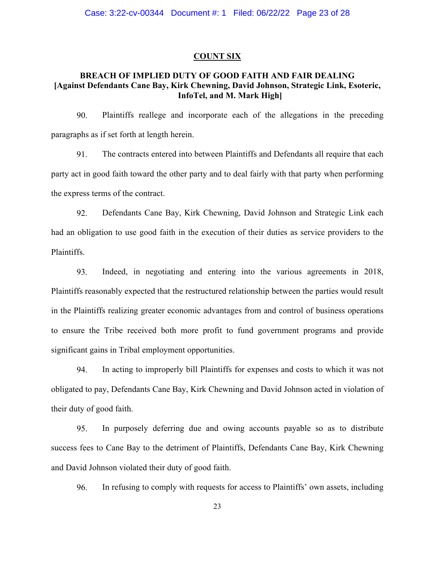### **COUNT SIX**

## **BREACH OF IMPLIED DUTY OF GOOD FAITH AND FAIR DEALING [Against Defendants Cane Bay, Kirk Chewning, David Johnson, Strategic Link, Esoteric, InfoTel, and M. Mark High]**

90. Plaintiffs reallege and incorporate each of the allegations in the preceding paragraphs as if set forth at length herein.

91. The contracts entered into between Plaintiffs and Defendants all require that each party act in good faith toward the other party and to deal fairly with that party when performing the express terms of the contract.

92. Defendants Cane Bay, Kirk Chewning, David Johnson and Strategic Link each had an obligation to use good faith in the execution of their duties as service providers to the Plaintiffs.

93. Indeed, in negotiating and entering into the various agreements in 2018, Plaintiffs reasonably expected that the restructured relationship between the parties would result in the Plaintiffs realizing greater economic advantages from and control of business operations to ensure the Tribe received both more profit to fund government programs and provide significant gains in Tribal employment opportunities.

94. In acting to improperly bill Plaintiffs for expenses and costs to which it was not obligated to pay, Defendants Cane Bay, Kirk Chewning and David Johnson acted in violation of their duty of good faith.

95. In purposely deferring due and owing accounts payable so as to distribute success fees to Cane Bay to the detriment of Plaintiffs, Defendants Cane Bay, Kirk Chewning and David Johnson violated their duty of good faith.

96. In refusing to comply with requests for access to Plaintiffs' own assets, including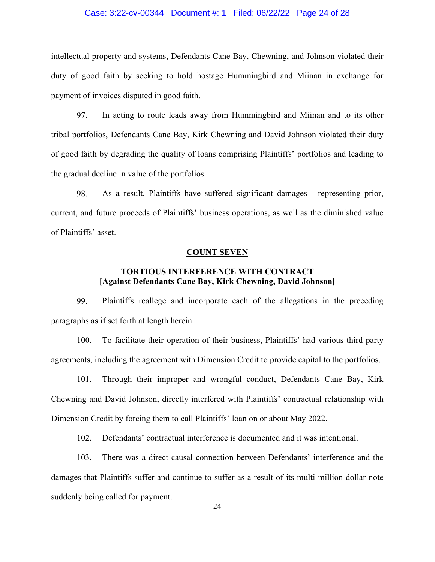## Case: 3:22-cv-00344 Document #: 1 Filed: 06/22/22 Page 24 of 28

intellectual property and systems, Defendants Cane Bay, Chewning, and Johnson violated their duty of good faith by seeking to hold hostage Hummingbird and Miinan in exchange for payment of invoices disputed in good faith.

97. In acting to route leads away from Hummingbird and Miinan and to its other tribal portfolios, Defendants Cane Bay, Kirk Chewning and David Johnson violated their duty of good faith by degrading the quality of loans comprising Plaintiffs' portfolios and leading to the gradual decline in value of the portfolios.

98. As a result, Plaintiffs have suffered significant damages - representing prior, current, and future proceeds of Plaintiffs' business operations, as well as the diminished value of Plaintiffs' asset.

## **COUNT SEVEN**

## **TORTIOUS INTERFERENCE WITH CONTRACT [Against Defendants Cane Bay, Kirk Chewning, David Johnson]**

99. Plaintiffs reallege and incorporate each of the allegations in the preceding paragraphs as if set forth at length herein.

100. To facilitate their operation of their business, Plaintiffs' had various third party agreements, including the agreement with Dimension Credit to provide capital to the portfolios.

101. Through their improper and wrongful conduct, Defendants Cane Bay, Kirk Chewning and David Johnson, directly interfered with Plaintiffs' contractual relationship with Dimension Credit by forcing them to call Plaintiffs' loan on or about May 2022.

102. Defendants' contractual interference is documented and it was intentional.

103. There was a direct causal connection between Defendants' interference and the damages that Plaintiffs suffer and continue to suffer as a result of its multi-million dollar note suddenly being called for payment.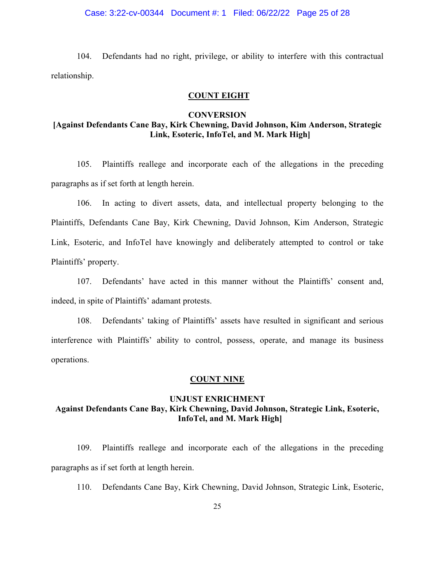## Case: 3:22-cv-00344 Document #: 1 Filed: 06/22/22 Page 25 of 28

104. Defendants had no right, privilege, or ability to interfere with this contractual relationship.

## **COUNT EIGHT**

### **CONVERSION**

# **[Against Defendants Cane Bay, Kirk Chewning, David Johnson, Kim Anderson, Strategic Link, Esoteric, InfoTel, and M. Mark High]**

105. Plaintiffs reallege and incorporate each of the allegations in the preceding paragraphs as if set forth at length herein.

106. In acting to divert assets, data, and intellectual property belonging to the Plaintiffs, Defendants Cane Bay, Kirk Chewning, David Johnson, Kim Anderson, Strategic Link, Esoteric, and InfoTel have knowingly and deliberately attempted to control or take Plaintiffs' property.

107. Defendants' have acted in this manner without the Plaintiffs' consent and, indeed, in spite of Plaintiffs' adamant protests.

108. Defendants' taking of Plaintiffs' assets have resulted in significant and serious interference with Plaintiffs' ability to control, possess, operate, and manage its business operations.

## **COUNT NINE**

# **UNJUST ENRICHMENT Against Defendants Cane Bay, Kirk Chewning, David Johnson, Strategic Link, Esoteric, InfoTel, and M. Mark High]**

109. Plaintiffs reallege and incorporate each of the allegations in the preceding paragraphs as if set forth at length herein.

110. Defendants Cane Bay, Kirk Chewning, David Johnson, Strategic Link, Esoteric,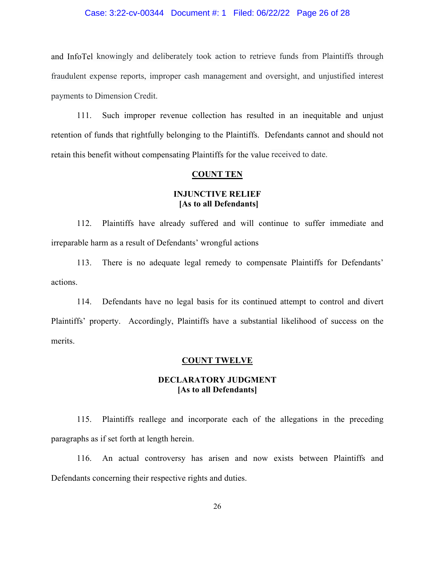## Case: 3:22-cv-00344 Document #: 1 Filed: 06/22/22 Page 26 of 28

and InfoTel knowingly and deliberately took action to retrieve funds from Plaintiffs through fraudulent expense reports, improper cash management and oversight, and unjustified interest payments to Dimension Credit.

111. Such improper revenue collection has resulted in an inequitable and unjust retention of funds that rightfully belonging to the Plaintiffs. Defendants cannot and should not retain this benefit without compensating Plaintiffs for the value received to date.

### **COUNT TEN**

## **INJUNCTIVE RELIEF [As to all Defendants]**

112. Plaintiffs have already suffered and will continue to suffer immediate and irreparable harm as a result of Defendants' wrongful actions

113. There is no adequate legal remedy to compensate Plaintiffs for Defendants' actions.

114. Defendants have no legal basis for its continued attempt to control and divert Plaintiffs' property. Accordingly, Plaintiffs have a substantial likelihood of success on the merits.

## **COUNT TWELVE**

# **DECLARATORY JUDGMENT [As to all Defendants]**

115. Plaintiffs reallege and incorporate each of the allegations in the preceding paragraphs as if set forth at length herein.

116. An actual controversy has arisen and now exists between Plaintiffs and Defendants concerning their respective rights and duties.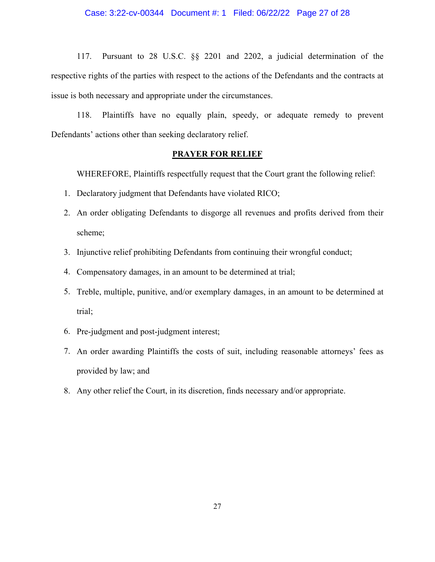## Case: 3:22-cv-00344 Document #: 1 Filed: 06/22/22 Page 27 of 28

117. Pursuant to 28 U.S.C. §§ 2201 and 2202, a judicial determination of the respective rights of the parties with respect to the actions of the Defendants and the contracts at issue is both necessary and appropriate under the circumstances.

118. Plaintiffs have no equally plain, speedy, or adequate remedy to prevent Defendants' actions other than seeking declaratory relief.

## **PRAYER FOR RELIEF**

WHEREFORE, Plaintiffs respectfully request that the Court grant the following relief:

- 1. Declaratory judgment that Defendants have violated RICO;
- 2. An order obligating Defendants to disgorge all revenues and profits derived from their scheme;
- 3. Injunctive relief prohibiting Defendants from continuing their wrongful conduct;
- 4. Compensatory damages, in an amount to be determined at trial;
- 5. Treble, multiple, punitive, and/or exemplary damages, in an amount to be determined at trial;
- 6. Pre-judgment and post-judgment interest;
- 7. An order awarding Plaintiffs the costs of suit, including reasonable attorneys' fees as provided by law; and
- 8. Any other relief the Court, in its discretion, finds necessary and/or appropriate.